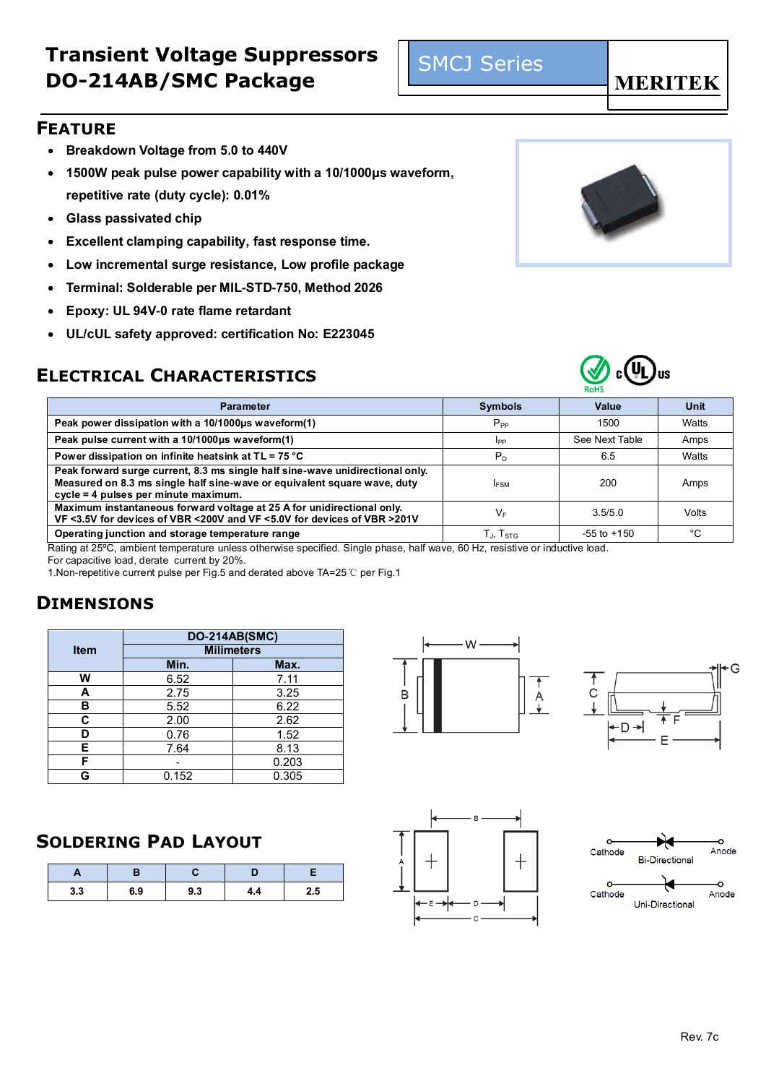- **Breakdown Voltage from 5.0 to 440V**
- **1500W peak pulse power capability with a 10/1000μs waveform, repetitive rate (duty cycle): 0.01%**
- **Glass passivated chip**
- **Excellent clamping capability, fast response time.**
- **Low incremental surge resistance, Low profile package**
- **Terminal: Solderable per MIL-STD-750, Method 2026**
- **Epoxy: UL 94V-0 rate flame retardant**
- **UL/cUL safety approved: certification No: E223045**

### **ELECTRICAL CHARACTERISTICS**





| <b>Parameter</b>                                                                                                                                                                                  | <b>Symbols</b>              | <b>Value</b>    | Unit  |
|---------------------------------------------------------------------------------------------------------------------------------------------------------------------------------------------------|-----------------------------|-----------------|-------|
| Peak power dissipation with a 10/1000us waveform(1)                                                                                                                                               | $P_{PP}$                    | 1500            | Watts |
| Peak pulse current with a 10/1000µs waveform(1)                                                                                                                                                   | Ipp                         | See Next Table  | Amps  |
| Power dissipation on infinite heatsink at TL = 75 °C                                                                                                                                              | P <sub>D</sub>              | 6.5             | Watts |
| Peak forward surge current, 8.3 ms single half sine-wave unidirectional only.<br>Measured on 8.3 ms single half sine-wave or equivalent square wave, duty<br>cycle = 4 pulses per minute maximum. | <b>FSM</b>                  | 200             | Amps  |
| Maximum instantaneous forward voltage at 25 A for unidirectional only.<br>VF <3.5V for devices of VBR <200V and VF <5.0V for devices of VBR >201V                                                 | VF                          | 3.5/5.0         | Volts |
| Operating junction and storage temperature range                                                                                                                                                  | $T_{\rm J}$ , $T_{\rm STG}$ | $-55$ to $+150$ | °C    |
|                                                                                                                                                                                                   |                             |                 |       |

Rating at 25ºC, ambient temperature unless otherwise specified. Single phase, half wave, 60 Hz, resistive or inductive load. For capacitive load, derate current by 20%.

1.Non-repetitive current pulse per Fig.5 and derated above TA=25℃ per Fig.1

### **DIMENSIONS**

|             | <b>DO-214AB(SMC)</b> |       |  |  |  |  |  |
|-------------|----------------------|-------|--|--|--|--|--|
| <b>Item</b> | <b>Milimeters</b>    |       |  |  |  |  |  |
|             | Min.                 | Max.  |  |  |  |  |  |
| w           | 6.52                 | 7.11  |  |  |  |  |  |
| А           | 2.75                 | 3.25  |  |  |  |  |  |
| в           | 5.52                 | 6.22  |  |  |  |  |  |
| C           | 2.00                 | 2.62  |  |  |  |  |  |
| D           | 0.76                 | 1.52  |  |  |  |  |  |
| Е           | 7.64                 | 8.13  |  |  |  |  |  |
| F           |                      | 0.203 |  |  |  |  |  |
|             | 0.152                | 0.305 |  |  |  |  |  |

#### **SOLDERING PAD LAYOUT**

| <b>.</b> |     |     |     |     |
|----------|-----|-----|-----|-----|
| 3.3      | 6.9 | 9.3 | 4.4 | 2.5 |









SMCJ Series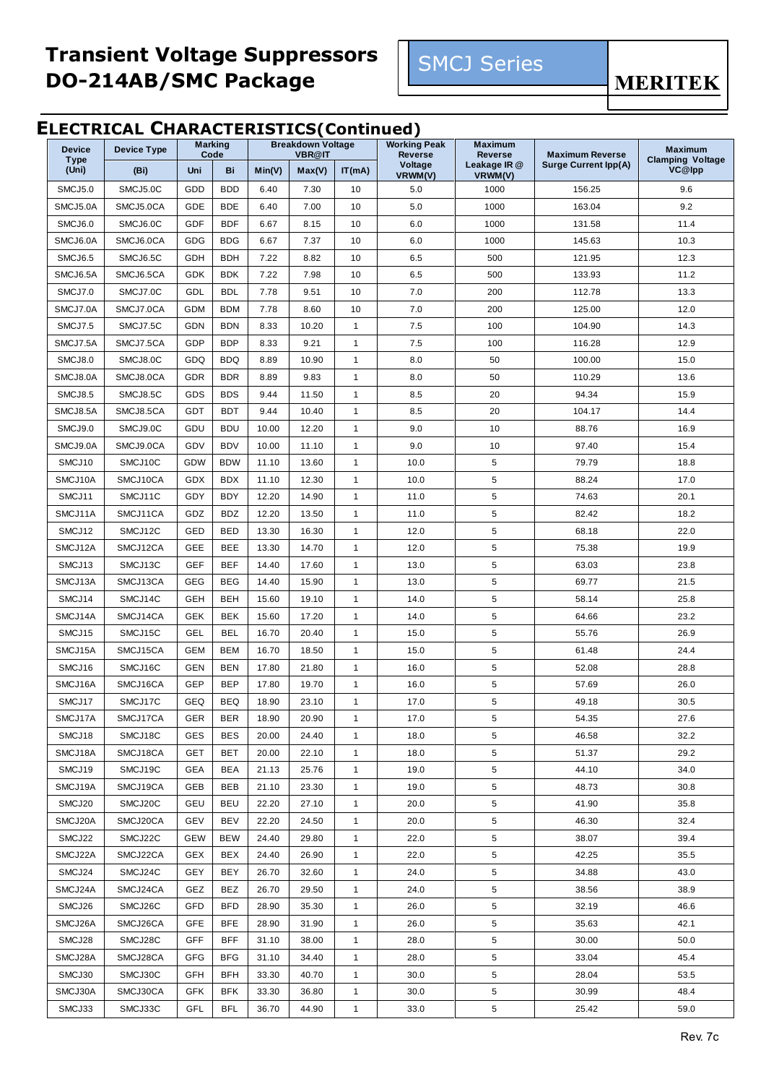

**MERITEK** 

#### **ELECTRICAL CHARACTERISTICS(Continued)**

| Code<br><b>Type</b><br><b>Clamping Voltage</b><br>Voltage<br>Leakage IR @<br><b>Surge Current Ipp(A)</b><br>VC@lpp<br>(Uni)<br>Uni<br>Bi<br>Min(V)<br>Max(V)<br>IT(mA)<br>(Bi)<br>VRWM(V)<br>VRWM(V)<br>SMCJ5.0C<br>GDD<br><b>BDD</b><br>7.30<br>5.0<br>SMCJ5.0<br>6.40<br>10<br>1000<br>156.25<br>9.6<br>SMCJ5.0A<br>GDE<br><b>BDE</b><br>7.00<br>1000<br>163.04<br>9.2<br>SMCJ5.0CA<br>6.40<br>10<br>5.0<br>SMCJ6.0<br>SMCJ6.0C<br>GDF<br><b>BDF</b><br>6.0<br>1000<br>131.58<br>11.4<br>6.67<br>8.15<br>10<br>SMCJ6.0A<br>SMCJ6.0CA<br>GDG<br><b>BDG</b><br>6.67<br>7.37<br>10<br>6.0<br>1000<br>145.63<br>10.3<br>SMCJ6.5<br>SMCJ6.5C<br>GDH<br><b>BDH</b><br>7.22<br>8.82<br>10<br>6.5<br>500<br>121.95<br>12.3<br><b>BDK</b><br>SMCJ6.5A<br>SMCJ6.5CA<br><b>GDK</b><br>7.22<br>7.98<br>10<br>6.5<br>500<br>133.93<br>11.2<br>SMCJ7.0<br>SMCJ7.0C<br>GDL<br><b>BDL</b><br>9.51<br>7.0<br>112.78<br>13.3<br>7.78<br>10<br>200<br>SMCJ7.0A<br>SMCJ7.0CA<br><b>GDM</b><br><b>BDM</b><br>125.00<br>12.0<br>7.78<br>8.60<br>10<br>7.0<br>200<br>SMCJ7.5<br>SMCJ7.5C<br>GDN<br><b>BDN</b><br>104.90<br>14.3<br>8.33<br>10.20<br>$\mathbf{1}$<br>7.5<br>100<br>GDP<br><b>BDP</b><br>9.21<br>SMCJ7.5A<br>SMCJ7.5CA<br>8.33<br>$\mathbf{1}$<br>7.5<br>100<br>116.28<br>12.9<br>8.0<br>SMCJ8.0<br>SMCJ8.0C<br>GDQ<br><b>BDQ</b><br>8.89<br>10.90<br>$\mathbf{1}$<br>50<br>100.00<br>15.0<br>SMCJ8.0A<br>SMCJ8.0CA<br>GDR<br><b>BDR</b><br>8.89<br>9.83<br>$\mathbf{1}$<br>8.0<br>50<br>110.29<br>13.6<br>SMCJ8.5<br>SMCJ8.5C<br>GDS<br><b>BDS</b><br>9.44<br>11.50<br>8.5<br>20<br>94.34<br>15.9<br>$\mathbf{1}$<br>SMCJ8.5A<br>SMCJ8.5CA<br>GDT<br><b>BDT</b><br>20<br>9.44<br>10.40<br>$\mathbf{1}$<br>8.5<br>104.17<br>14.4<br>SMCJ9.0<br>SMCJ9.0C<br>GDU<br><b>BDU</b><br>10.00<br>12.20<br>$\mathbf{1}$<br>9.0<br>10<br>88.76<br>16.9<br>SMCJ9.0A<br>SMCJ9.0CA<br>GDV<br><b>BDV</b><br>10.00<br>9.0<br>10<br>97.40<br>15.4<br>11.10<br>$\mathbf{1}$<br>5<br>SMCJ10<br>SMCJ10C<br>GDW<br><b>BDW</b><br>11.10<br>13.60<br>$\mathbf{1}$<br>10.0<br>79.79<br>18.8<br>5<br>SMCJ10A<br>SMCJ10CA<br>GDX<br><b>BDX</b><br>11.10<br>12.30<br>$\mathbf{1}$<br>10.0<br>88.24<br>17.0<br>5<br>SMCJ11<br>GDY<br><b>BDY</b><br>SMCJ11C<br>12.20<br>14.90<br>$\mathbf{1}$<br>11.0<br>74.63<br>20.1<br>SMCJ11A<br>SMCJ11CA<br>GDZ<br><b>BDZ</b><br>12.20<br>5<br>82.42<br>18.2<br>13.50<br>$\mathbf{1}$<br>11.0<br>SMCJ12<br>SMCJ12C<br>GED<br><b>BED</b><br>5<br>22.0<br>13.30<br>16.30<br>$\mathbf{1}$<br>12.0<br>68.18<br>SMCJ12A<br>5<br>SMCJ12CA<br>GEE<br>BEE<br>13.30<br>14.70<br>$\mathbf{1}$<br>12.0<br>75.38<br>19.9<br>SMCJ13<br>SMCJ13C<br><b>GEF</b><br><b>BEF</b><br>14.40<br>17.60<br>$\mathbf{1}$<br>13.0<br>5<br>63.03<br>23.8<br><b>GEG</b><br>5<br>SMCJ13A<br>SMCJ13CA<br><b>BEG</b><br>14.40<br>15.90<br>$\mathbf{1}$<br>13.0<br>69.77<br>21.5<br>SMCJ14<br><b>BEH</b><br>5<br>25.8<br>SMCJ14C<br>GEH<br>15.60<br>19.10<br>14.0<br>58.14<br>$\mathbf{1}$<br><b>BEK</b><br>5<br>23.2<br>SMCJ14A<br>SMCJ14CA<br><b>GEK</b><br>15.60<br>17.20<br>$\mathbf{1}$<br>14.0<br>64.66<br>SMCJ15<br>SMCJ15C<br>GEL<br><b>BEL</b><br>5<br>55.76<br>26.9<br>16.70<br>20.40<br>$\mathbf{1}$<br>15.0<br>SMCJ15A<br><b>GEM</b><br><b>BEM</b><br>5<br>61.48<br>24.4<br>SMCJ15CA<br>16.70<br>18.50<br>$\mathbf{1}$<br>15.0<br>SMCJ16<br>5<br>28.8<br>SMCJ16C<br><b>GEN</b><br><b>BEN</b><br>17.80<br>21.80<br>$\mathbf{1}$<br>16.0<br>52.08<br><b>BEP</b><br>GEP<br>5<br>SMCJ16A<br>SMCJ16CA<br>17.80<br>19.70<br>$\mathbf{1}$<br>16.0<br>57.69<br>26.0<br>5<br>GEQ<br><b>BEQ</b><br>SMCJ17<br>SMCJ17C<br>18.90<br>23.10<br>$\mathbf{1}$<br>17.0<br>49.18<br>30.5<br>SMCJ17A<br>SMCJ17CA<br>20.90<br>17.0<br>54.35<br>27.6<br>GER<br><b>BER</b><br>18.90<br>1<br>5<br>5<br>SMCJ18<br>SMCJ18C<br><b>GES</b><br><b>BES</b><br>$\mathbf{1}$<br>18.0<br>46.58<br>32.2<br>20.00<br>24.40<br>5<br>SMCJ18A<br>SMCJ18CA<br><b>GET</b><br>BET<br>20.00<br>22.10<br>$\mathbf{1}$<br>18.0<br>51.37<br>29.2<br>5<br>SMCJ19<br>SMCJ19C<br><b>GEA</b><br><b>BEA</b><br>21.13<br>25.76<br>19.0<br>44.10<br>34.0<br>$\mathbf{1}$<br>SMCJ19A<br>SMCJ19CA<br>GEB<br>BEB<br>21.10<br>23.30<br>19.0<br>5<br>48.73<br>30.8<br>$\mathbf{1}$<br>5<br>SMCJ20<br>SMCJ20C<br>GEU<br><b>BEU</b><br>22.20<br>27.10<br>41.90<br>35.8<br>$\mathbf{1}$<br>20.0<br>5<br>SMCJ20A<br>SMCJ20CA<br>GEV<br><b>BEV</b><br>$\mathbf{1}$<br>46.30<br>32.4<br>22.20<br>24.50<br>20.0<br>5<br>SMCJ22<br>SMCJ22C<br><b>GEW</b><br><b>BEW</b><br>24.40<br>29.80<br>22.0<br>39.4<br>$\mathbf{1}$<br>38.07<br>SMCJ22CA<br>BEX<br>24.40<br>26.90<br>5<br>42.25<br>35.5<br>SMCJ22A<br>GEX<br>$\mathbf{1}$<br>22.0<br>SMCJ24<br>SMCJ24C<br>GEY<br>BEY<br>5<br>43.0<br>26.70<br>32.60<br>$\mathbf{1}$<br>24.0<br>34.88<br>SMCJ24A<br>SMCJ24CA<br>GEZ<br>BEZ<br>29.50<br>24.0<br>5<br>38.56<br>38.9<br>26.70<br>$\mathbf{1}$<br>SMCJ26<br>SMCJ26C<br>GFD<br><b>BFD</b><br>28.90<br>$\mathbf{1}$<br>26.0<br>5<br>32.19<br>46.6<br>35.30<br>5<br>SMCJ26CA<br><b>GFE</b><br><b>BFE</b><br>28.90<br>$\mathbf{1}$<br>26.0<br>42.1<br>SMCJ26A<br>31.90<br>35.63<br><b>GFF</b><br><b>BFF</b><br>5<br>SMCJ28<br>SMCJ28C<br>31.10<br>$\mathbf{1}$<br>28.0<br>30.00<br>50.0<br>38.00<br>SMCJ28A<br>SMCJ28CA<br><b>GFG</b><br><b>BFG</b><br>31.10<br>34.40<br>28.0<br>5<br>33.04<br>45.4<br>$\mathbf{1}$<br>SMCJ30<br>SMCJ30C<br>GFH<br><b>BFH</b><br>33.30<br>40.70<br>30.0<br>5<br>28.04<br>53.5<br>$\mathbf{1}$<br>SMCJ30A<br>SMCJ30CA<br>GFK<br><b>BFK</b><br>33.30<br>30.0<br>5<br>30.99<br>48.4<br>36.80<br>$\mathbf{1}$ | <b>Device</b> | <b>Device Type</b> | <b>Marking</b> | <b>Breakdown Voltage</b><br><b>VBR@IT</b> | <b>Working Peak</b><br><b>Reverse</b> | <b>Maximum</b><br><b>Reverse</b> | <b>Maximum Reverse</b> | <b>Maximum</b> |
|----------------------------------------------------------------------------------------------------------------------------------------------------------------------------------------------------------------------------------------------------------------------------------------------------------------------------------------------------------------------------------------------------------------------------------------------------------------------------------------------------------------------------------------------------------------------------------------------------------------------------------------------------------------------------------------------------------------------------------------------------------------------------------------------------------------------------------------------------------------------------------------------------------------------------------------------------------------------------------------------------------------------------------------------------------------------------------------------------------------------------------------------------------------------------------------------------------------------------------------------------------------------------------------------------------------------------------------------------------------------------------------------------------------------------------------------------------------------------------------------------------------------------------------------------------------------------------------------------------------------------------------------------------------------------------------------------------------------------------------------------------------------------------------------------------------------------------------------------------------------------------------------------------------------------------------------------------------------------------------------------------------------------------------------------------------------------------------------------------------------------------------------------------------------------------------------------------------------------------------------------------------------------------------------------------------------------------------------------------------------------------------------------------------------------------------------------------------------------------------------------------------------------------------------------------------------------------------------------------------------------------------------------------------------------------------------------------------------------------------------------------------------------------------------------------------------------------------------------------------------------------------------------------------------------------------------------------------------------------------------------------------------------------------------------------------------------------------------------------------------------------------------------------------------------------------------------------------------------------------------------------------------------------------------------------------------------------------------------------------------------------------------------------------------------------------------------------------------------------------------------------------------------------------------------------------------------------------------------------------------------------------------------------------------------------------------------------------------------------------------------------------------------------------------------------------------------------------------------------------------------------------------------------------------------------------------------------------------------------------------------------------------------------------------------------------------------------------------------------------------------------------------------------------------------------------------------------------------------------------------------------------------------------------------------------------------------------------------------------------------------------------------------------------------------------------------------------------------------------------------------------------------------------------------------------------------------------------------------------------------------------------------------------------------------------------------------------------------------------------------------------------------------------------------------------------------------------------------------------------------------------------------------------------------------------------------------------------------------------------------------------------------------------------------------------------------------------------------------------------------------------------------------------------------------------------------------------------------------------------------------------------------------------------------------------------------------------------------------------------------------------------------------------------------------------------------------------------------------------------------------------------------------------------------------|---------------|--------------------|----------------|-------------------------------------------|---------------------------------------|----------------------------------|------------------------|----------------|
|                                                                                                                                                                                                                                                                                                                                                                                                                                                                                                                                                                                                                                                                                                                                                                                                                                                                                                                                                                                                                                                                                                                                                                                                                                                                                                                                                                                                                                                                                                                                                                                                                                                                                                                                                                                                                                                                                                                                                                                                                                                                                                                                                                                                                                                                                                                                                                                                                                                                                                                                                                                                                                                                                                                                                                                                                                                                                                                                                                                                                                                                                                                                                                                                                                                                                                                                                                                                                                                                                                                                                                                                                                                                                                                                                                                                                                                                                                                                                                                                                                                                                                                                                                                                                                                                                                                                                                                                                                                                                                                                                                                                                                                                                                                                                                                                                                                                                                                                                                                                                                                                                                                                                                                                                                                                                                                                                                                                                                                                                                                                                    |               |                    |                |                                           |                                       |                                  |                        |                |
|                                                                                                                                                                                                                                                                                                                                                                                                                                                                                                                                                                                                                                                                                                                                                                                                                                                                                                                                                                                                                                                                                                                                                                                                                                                                                                                                                                                                                                                                                                                                                                                                                                                                                                                                                                                                                                                                                                                                                                                                                                                                                                                                                                                                                                                                                                                                                                                                                                                                                                                                                                                                                                                                                                                                                                                                                                                                                                                                                                                                                                                                                                                                                                                                                                                                                                                                                                                                                                                                                                                                                                                                                                                                                                                                                                                                                                                                                                                                                                                                                                                                                                                                                                                                                                                                                                                                                                                                                                                                                                                                                                                                                                                                                                                                                                                                                                                                                                                                                                                                                                                                                                                                                                                                                                                                                                                                                                                                                                                                                                                                                    |               |                    |                |                                           |                                       |                                  |                        |                |
|                                                                                                                                                                                                                                                                                                                                                                                                                                                                                                                                                                                                                                                                                                                                                                                                                                                                                                                                                                                                                                                                                                                                                                                                                                                                                                                                                                                                                                                                                                                                                                                                                                                                                                                                                                                                                                                                                                                                                                                                                                                                                                                                                                                                                                                                                                                                                                                                                                                                                                                                                                                                                                                                                                                                                                                                                                                                                                                                                                                                                                                                                                                                                                                                                                                                                                                                                                                                                                                                                                                                                                                                                                                                                                                                                                                                                                                                                                                                                                                                                                                                                                                                                                                                                                                                                                                                                                                                                                                                                                                                                                                                                                                                                                                                                                                                                                                                                                                                                                                                                                                                                                                                                                                                                                                                                                                                                                                                                                                                                                                                                    |               |                    |                |                                           |                                       |                                  |                        |                |
|                                                                                                                                                                                                                                                                                                                                                                                                                                                                                                                                                                                                                                                                                                                                                                                                                                                                                                                                                                                                                                                                                                                                                                                                                                                                                                                                                                                                                                                                                                                                                                                                                                                                                                                                                                                                                                                                                                                                                                                                                                                                                                                                                                                                                                                                                                                                                                                                                                                                                                                                                                                                                                                                                                                                                                                                                                                                                                                                                                                                                                                                                                                                                                                                                                                                                                                                                                                                                                                                                                                                                                                                                                                                                                                                                                                                                                                                                                                                                                                                                                                                                                                                                                                                                                                                                                                                                                                                                                                                                                                                                                                                                                                                                                                                                                                                                                                                                                                                                                                                                                                                                                                                                                                                                                                                                                                                                                                                                                                                                                                                                    |               |                    |                |                                           |                                       |                                  |                        |                |
|                                                                                                                                                                                                                                                                                                                                                                                                                                                                                                                                                                                                                                                                                                                                                                                                                                                                                                                                                                                                                                                                                                                                                                                                                                                                                                                                                                                                                                                                                                                                                                                                                                                                                                                                                                                                                                                                                                                                                                                                                                                                                                                                                                                                                                                                                                                                                                                                                                                                                                                                                                                                                                                                                                                                                                                                                                                                                                                                                                                                                                                                                                                                                                                                                                                                                                                                                                                                                                                                                                                                                                                                                                                                                                                                                                                                                                                                                                                                                                                                                                                                                                                                                                                                                                                                                                                                                                                                                                                                                                                                                                                                                                                                                                                                                                                                                                                                                                                                                                                                                                                                                                                                                                                                                                                                                                                                                                                                                                                                                                                                                    |               |                    |                |                                           |                                       |                                  |                        |                |
|                                                                                                                                                                                                                                                                                                                                                                                                                                                                                                                                                                                                                                                                                                                                                                                                                                                                                                                                                                                                                                                                                                                                                                                                                                                                                                                                                                                                                                                                                                                                                                                                                                                                                                                                                                                                                                                                                                                                                                                                                                                                                                                                                                                                                                                                                                                                                                                                                                                                                                                                                                                                                                                                                                                                                                                                                                                                                                                                                                                                                                                                                                                                                                                                                                                                                                                                                                                                                                                                                                                                                                                                                                                                                                                                                                                                                                                                                                                                                                                                                                                                                                                                                                                                                                                                                                                                                                                                                                                                                                                                                                                                                                                                                                                                                                                                                                                                                                                                                                                                                                                                                                                                                                                                                                                                                                                                                                                                                                                                                                                                                    |               |                    |                |                                           |                                       |                                  |                        |                |
|                                                                                                                                                                                                                                                                                                                                                                                                                                                                                                                                                                                                                                                                                                                                                                                                                                                                                                                                                                                                                                                                                                                                                                                                                                                                                                                                                                                                                                                                                                                                                                                                                                                                                                                                                                                                                                                                                                                                                                                                                                                                                                                                                                                                                                                                                                                                                                                                                                                                                                                                                                                                                                                                                                                                                                                                                                                                                                                                                                                                                                                                                                                                                                                                                                                                                                                                                                                                                                                                                                                                                                                                                                                                                                                                                                                                                                                                                                                                                                                                                                                                                                                                                                                                                                                                                                                                                                                                                                                                                                                                                                                                                                                                                                                                                                                                                                                                                                                                                                                                                                                                                                                                                                                                                                                                                                                                                                                                                                                                                                                                                    |               |                    |                |                                           |                                       |                                  |                        |                |
|                                                                                                                                                                                                                                                                                                                                                                                                                                                                                                                                                                                                                                                                                                                                                                                                                                                                                                                                                                                                                                                                                                                                                                                                                                                                                                                                                                                                                                                                                                                                                                                                                                                                                                                                                                                                                                                                                                                                                                                                                                                                                                                                                                                                                                                                                                                                                                                                                                                                                                                                                                                                                                                                                                                                                                                                                                                                                                                                                                                                                                                                                                                                                                                                                                                                                                                                                                                                                                                                                                                                                                                                                                                                                                                                                                                                                                                                                                                                                                                                                                                                                                                                                                                                                                                                                                                                                                                                                                                                                                                                                                                                                                                                                                                                                                                                                                                                                                                                                                                                                                                                                                                                                                                                                                                                                                                                                                                                                                                                                                                                                    |               |                    |                |                                           |                                       |                                  |                        |                |
|                                                                                                                                                                                                                                                                                                                                                                                                                                                                                                                                                                                                                                                                                                                                                                                                                                                                                                                                                                                                                                                                                                                                                                                                                                                                                                                                                                                                                                                                                                                                                                                                                                                                                                                                                                                                                                                                                                                                                                                                                                                                                                                                                                                                                                                                                                                                                                                                                                                                                                                                                                                                                                                                                                                                                                                                                                                                                                                                                                                                                                                                                                                                                                                                                                                                                                                                                                                                                                                                                                                                                                                                                                                                                                                                                                                                                                                                                                                                                                                                                                                                                                                                                                                                                                                                                                                                                                                                                                                                                                                                                                                                                                                                                                                                                                                                                                                                                                                                                                                                                                                                                                                                                                                                                                                                                                                                                                                                                                                                                                                                                    |               |                    |                |                                           |                                       |                                  |                        |                |
|                                                                                                                                                                                                                                                                                                                                                                                                                                                                                                                                                                                                                                                                                                                                                                                                                                                                                                                                                                                                                                                                                                                                                                                                                                                                                                                                                                                                                                                                                                                                                                                                                                                                                                                                                                                                                                                                                                                                                                                                                                                                                                                                                                                                                                                                                                                                                                                                                                                                                                                                                                                                                                                                                                                                                                                                                                                                                                                                                                                                                                                                                                                                                                                                                                                                                                                                                                                                                                                                                                                                                                                                                                                                                                                                                                                                                                                                                                                                                                                                                                                                                                                                                                                                                                                                                                                                                                                                                                                                                                                                                                                                                                                                                                                                                                                                                                                                                                                                                                                                                                                                                                                                                                                                                                                                                                                                                                                                                                                                                                                                                    |               |                    |                |                                           |                                       |                                  |                        |                |
|                                                                                                                                                                                                                                                                                                                                                                                                                                                                                                                                                                                                                                                                                                                                                                                                                                                                                                                                                                                                                                                                                                                                                                                                                                                                                                                                                                                                                                                                                                                                                                                                                                                                                                                                                                                                                                                                                                                                                                                                                                                                                                                                                                                                                                                                                                                                                                                                                                                                                                                                                                                                                                                                                                                                                                                                                                                                                                                                                                                                                                                                                                                                                                                                                                                                                                                                                                                                                                                                                                                                                                                                                                                                                                                                                                                                                                                                                                                                                                                                                                                                                                                                                                                                                                                                                                                                                                                                                                                                                                                                                                                                                                                                                                                                                                                                                                                                                                                                                                                                                                                                                                                                                                                                                                                                                                                                                                                                                                                                                                                                                    |               |                    |                |                                           |                                       |                                  |                        |                |
|                                                                                                                                                                                                                                                                                                                                                                                                                                                                                                                                                                                                                                                                                                                                                                                                                                                                                                                                                                                                                                                                                                                                                                                                                                                                                                                                                                                                                                                                                                                                                                                                                                                                                                                                                                                                                                                                                                                                                                                                                                                                                                                                                                                                                                                                                                                                                                                                                                                                                                                                                                                                                                                                                                                                                                                                                                                                                                                                                                                                                                                                                                                                                                                                                                                                                                                                                                                                                                                                                                                                                                                                                                                                                                                                                                                                                                                                                                                                                                                                                                                                                                                                                                                                                                                                                                                                                                                                                                                                                                                                                                                                                                                                                                                                                                                                                                                                                                                                                                                                                                                                                                                                                                                                                                                                                                                                                                                                                                                                                                                                                    |               |                    |                |                                           |                                       |                                  |                        |                |
|                                                                                                                                                                                                                                                                                                                                                                                                                                                                                                                                                                                                                                                                                                                                                                                                                                                                                                                                                                                                                                                                                                                                                                                                                                                                                                                                                                                                                                                                                                                                                                                                                                                                                                                                                                                                                                                                                                                                                                                                                                                                                                                                                                                                                                                                                                                                                                                                                                                                                                                                                                                                                                                                                                                                                                                                                                                                                                                                                                                                                                                                                                                                                                                                                                                                                                                                                                                                                                                                                                                                                                                                                                                                                                                                                                                                                                                                                                                                                                                                                                                                                                                                                                                                                                                                                                                                                                                                                                                                                                                                                                                                                                                                                                                                                                                                                                                                                                                                                                                                                                                                                                                                                                                                                                                                                                                                                                                                                                                                                                                                                    |               |                    |                |                                           |                                       |                                  |                        |                |
|                                                                                                                                                                                                                                                                                                                                                                                                                                                                                                                                                                                                                                                                                                                                                                                                                                                                                                                                                                                                                                                                                                                                                                                                                                                                                                                                                                                                                                                                                                                                                                                                                                                                                                                                                                                                                                                                                                                                                                                                                                                                                                                                                                                                                                                                                                                                                                                                                                                                                                                                                                                                                                                                                                                                                                                                                                                                                                                                                                                                                                                                                                                                                                                                                                                                                                                                                                                                                                                                                                                                                                                                                                                                                                                                                                                                                                                                                                                                                                                                                                                                                                                                                                                                                                                                                                                                                                                                                                                                                                                                                                                                                                                                                                                                                                                                                                                                                                                                                                                                                                                                                                                                                                                                                                                                                                                                                                                                                                                                                                                                                    |               |                    |                |                                           |                                       |                                  |                        |                |
|                                                                                                                                                                                                                                                                                                                                                                                                                                                                                                                                                                                                                                                                                                                                                                                                                                                                                                                                                                                                                                                                                                                                                                                                                                                                                                                                                                                                                                                                                                                                                                                                                                                                                                                                                                                                                                                                                                                                                                                                                                                                                                                                                                                                                                                                                                                                                                                                                                                                                                                                                                                                                                                                                                                                                                                                                                                                                                                                                                                                                                                                                                                                                                                                                                                                                                                                                                                                                                                                                                                                                                                                                                                                                                                                                                                                                                                                                                                                                                                                                                                                                                                                                                                                                                                                                                                                                                                                                                                                                                                                                                                                                                                                                                                                                                                                                                                                                                                                                                                                                                                                                                                                                                                                                                                                                                                                                                                                                                                                                                                                                    |               |                    |                |                                           |                                       |                                  |                        |                |
|                                                                                                                                                                                                                                                                                                                                                                                                                                                                                                                                                                                                                                                                                                                                                                                                                                                                                                                                                                                                                                                                                                                                                                                                                                                                                                                                                                                                                                                                                                                                                                                                                                                                                                                                                                                                                                                                                                                                                                                                                                                                                                                                                                                                                                                                                                                                                                                                                                                                                                                                                                                                                                                                                                                                                                                                                                                                                                                                                                                                                                                                                                                                                                                                                                                                                                                                                                                                                                                                                                                                                                                                                                                                                                                                                                                                                                                                                                                                                                                                                                                                                                                                                                                                                                                                                                                                                                                                                                                                                                                                                                                                                                                                                                                                                                                                                                                                                                                                                                                                                                                                                                                                                                                                                                                                                                                                                                                                                                                                                                                                                    |               |                    |                |                                           |                                       |                                  |                        |                |
|                                                                                                                                                                                                                                                                                                                                                                                                                                                                                                                                                                                                                                                                                                                                                                                                                                                                                                                                                                                                                                                                                                                                                                                                                                                                                                                                                                                                                                                                                                                                                                                                                                                                                                                                                                                                                                                                                                                                                                                                                                                                                                                                                                                                                                                                                                                                                                                                                                                                                                                                                                                                                                                                                                                                                                                                                                                                                                                                                                                                                                                                                                                                                                                                                                                                                                                                                                                                                                                                                                                                                                                                                                                                                                                                                                                                                                                                                                                                                                                                                                                                                                                                                                                                                                                                                                                                                                                                                                                                                                                                                                                                                                                                                                                                                                                                                                                                                                                                                                                                                                                                                                                                                                                                                                                                                                                                                                                                                                                                                                                                                    |               |                    |                |                                           |                                       |                                  |                        |                |
|                                                                                                                                                                                                                                                                                                                                                                                                                                                                                                                                                                                                                                                                                                                                                                                                                                                                                                                                                                                                                                                                                                                                                                                                                                                                                                                                                                                                                                                                                                                                                                                                                                                                                                                                                                                                                                                                                                                                                                                                                                                                                                                                                                                                                                                                                                                                                                                                                                                                                                                                                                                                                                                                                                                                                                                                                                                                                                                                                                                                                                                                                                                                                                                                                                                                                                                                                                                                                                                                                                                                                                                                                                                                                                                                                                                                                                                                                                                                                                                                                                                                                                                                                                                                                                                                                                                                                                                                                                                                                                                                                                                                                                                                                                                                                                                                                                                                                                                                                                                                                                                                                                                                                                                                                                                                                                                                                                                                                                                                                                                                                    |               |                    |                |                                           |                                       |                                  |                        |                |
|                                                                                                                                                                                                                                                                                                                                                                                                                                                                                                                                                                                                                                                                                                                                                                                                                                                                                                                                                                                                                                                                                                                                                                                                                                                                                                                                                                                                                                                                                                                                                                                                                                                                                                                                                                                                                                                                                                                                                                                                                                                                                                                                                                                                                                                                                                                                                                                                                                                                                                                                                                                                                                                                                                                                                                                                                                                                                                                                                                                                                                                                                                                                                                                                                                                                                                                                                                                                                                                                                                                                                                                                                                                                                                                                                                                                                                                                                                                                                                                                                                                                                                                                                                                                                                                                                                                                                                                                                                                                                                                                                                                                                                                                                                                                                                                                                                                                                                                                                                                                                                                                                                                                                                                                                                                                                                                                                                                                                                                                                                                                                    |               |                    |                |                                           |                                       |                                  |                        |                |
|                                                                                                                                                                                                                                                                                                                                                                                                                                                                                                                                                                                                                                                                                                                                                                                                                                                                                                                                                                                                                                                                                                                                                                                                                                                                                                                                                                                                                                                                                                                                                                                                                                                                                                                                                                                                                                                                                                                                                                                                                                                                                                                                                                                                                                                                                                                                                                                                                                                                                                                                                                                                                                                                                                                                                                                                                                                                                                                                                                                                                                                                                                                                                                                                                                                                                                                                                                                                                                                                                                                                                                                                                                                                                                                                                                                                                                                                                                                                                                                                                                                                                                                                                                                                                                                                                                                                                                                                                                                                                                                                                                                                                                                                                                                                                                                                                                                                                                                                                                                                                                                                                                                                                                                                                                                                                                                                                                                                                                                                                                                                                    |               |                    |                |                                           |                                       |                                  |                        |                |
|                                                                                                                                                                                                                                                                                                                                                                                                                                                                                                                                                                                                                                                                                                                                                                                                                                                                                                                                                                                                                                                                                                                                                                                                                                                                                                                                                                                                                                                                                                                                                                                                                                                                                                                                                                                                                                                                                                                                                                                                                                                                                                                                                                                                                                                                                                                                                                                                                                                                                                                                                                                                                                                                                                                                                                                                                                                                                                                                                                                                                                                                                                                                                                                                                                                                                                                                                                                                                                                                                                                                                                                                                                                                                                                                                                                                                                                                                                                                                                                                                                                                                                                                                                                                                                                                                                                                                                                                                                                                                                                                                                                                                                                                                                                                                                                                                                                                                                                                                                                                                                                                                                                                                                                                                                                                                                                                                                                                                                                                                                                                                    |               |                    |                |                                           |                                       |                                  |                        |                |
|                                                                                                                                                                                                                                                                                                                                                                                                                                                                                                                                                                                                                                                                                                                                                                                                                                                                                                                                                                                                                                                                                                                                                                                                                                                                                                                                                                                                                                                                                                                                                                                                                                                                                                                                                                                                                                                                                                                                                                                                                                                                                                                                                                                                                                                                                                                                                                                                                                                                                                                                                                                                                                                                                                                                                                                                                                                                                                                                                                                                                                                                                                                                                                                                                                                                                                                                                                                                                                                                                                                                                                                                                                                                                                                                                                                                                                                                                                                                                                                                                                                                                                                                                                                                                                                                                                                                                                                                                                                                                                                                                                                                                                                                                                                                                                                                                                                                                                                                                                                                                                                                                                                                                                                                                                                                                                                                                                                                                                                                                                                                                    |               |                    |                |                                           |                                       |                                  |                        |                |
|                                                                                                                                                                                                                                                                                                                                                                                                                                                                                                                                                                                                                                                                                                                                                                                                                                                                                                                                                                                                                                                                                                                                                                                                                                                                                                                                                                                                                                                                                                                                                                                                                                                                                                                                                                                                                                                                                                                                                                                                                                                                                                                                                                                                                                                                                                                                                                                                                                                                                                                                                                                                                                                                                                                                                                                                                                                                                                                                                                                                                                                                                                                                                                                                                                                                                                                                                                                                                                                                                                                                                                                                                                                                                                                                                                                                                                                                                                                                                                                                                                                                                                                                                                                                                                                                                                                                                                                                                                                                                                                                                                                                                                                                                                                                                                                                                                                                                                                                                                                                                                                                                                                                                                                                                                                                                                                                                                                                                                                                                                                                                    |               |                    |                |                                           |                                       |                                  |                        |                |
|                                                                                                                                                                                                                                                                                                                                                                                                                                                                                                                                                                                                                                                                                                                                                                                                                                                                                                                                                                                                                                                                                                                                                                                                                                                                                                                                                                                                                                                                                                                                                                                                                                                                                                                                                                                                                                                                                                                                                                                                                                                                                                                                                                                                                                                                                                                                                                                                                                                                                                                                                                                                                                                                                                                                                                                                                                                                                                                                                                                                                                                                                                                                                                                                                                                                                                                                                                                                                                                                                                                                                                                                                                                                                                                                                                                                                                                                                                                                                                                                                                                                                                                                                                                                                                                                                                                                                                                                                                                                                                                                                                                                                                                                                                                                                                                                                                                                                                                                                                                                                                                                                                                                                                                                                                                                                                                                                                                                                                                                                                                                                    |               |                    |                |                                           |                                       |                                  |                        |                |
|                                                                                                                                                                                                                                                                                                                                                                                                                                                                                                                                                                                                                                                                                                                                                                                                                                                                                                                                                                                                                                                                                                                                                                                                                                                                                                                                                                                                                                                                                                                                                                                                                                                                                                                                                                                                                                                                                                                                                                                                                                                                                                                                                                                                                                                                                                                                                                                                                                                                                                                                                                                                                                                                                                                                                                                                                                                                                                                                                                                                                                                                                                                                                                                                                                                                                                                                                                                                                                                                                                                                                                                                                                                                                                                                                                                                                                                                                                                                                                                                                                                                                                                                                                                                                                                                                                                                                                                                                                                                                                                                                                                                                                                                                                                                                                                                                                                                                                                                                                                                                                                                                                                                                                                                                                                                                                                                                                                                                                                                                                                                                    |               |                    |                |                                           |                                       |                                  |                        |                |
|                                                                                                                                                                                                                                                                                                                                                                                                                                                                                                                                                                                                                                                                                                                                                                                                                                                                                                                                                                                                                                                                                                                                                                                                                                                                                                                                                                                                                                                                                                                                                                                                                                                                                                                                                                                                                                                                                                                                                                                                                                                                                                                                                                                                                                                                                                                                                                                                                                                                                                                                                                                                                                                                                                                                                                                                                                                                                                                                                                                                                                                                                                                                                                                                                                                                                                                                                                                                                                                                                                                                                                                                                                                                                                                                                                                                                                                                                                                                                                                                                                                                                                                                                                                                                                                                                                                                                                                                                                                                                                                                                                                                                                                                                                                                                                                                                                                                                                                                                                                                                                                                                                                                                                                                                                                                                                                                                                                                                                                                                                                                                    |               |                    |                |                                           |                                       |                                  |                        |                |
|                                                                                                                                                                                                                                                                                                                                                                                                                                                                                                                                                                                                                                                                                                                                                                                                                                                                                                                                                                                                                                                                                                                                                                                                                                                                                                                                                                                                                                                                                                                                                                                                                                                                                                                                                                                                                                                                                                                                                                                                                                                                                                                                                                                                                                                                                                                                                                                                                                                                                                                                                                                                                                                                                                                                                                                                                                                                                                                                                                                                                                                                                                                                                                                                                                                                                                                                                                                                                                                                                                                                                                                                                                                                                                                                                                                                                                                                                                                                                                                                                                                                                                                                                                                                                                                                                                                                                                                                                                                                                                                                                                                                                                                                                                                                                                                                                                                                                                                                                                                                                                                                                                                                                                                                                                                                                                                                                                                                                                                                                                                                                    |               |                    |                |                                           |                                       |                                  |                        |                |
|                                                                                                                                                                                                                                                                                                                                                                                                                                                                                                                                                                                                                                                                                                                                                                                                                                                                                                                                                                                                                                                                                                                                                                                                                                                                                                                                                                                                                                                                                                                                                                                                                                                                                                                                                                                                                                                                                                                                                                                                                                                                                                                                                                                                                                                                                                                                                                                                                                                                                                                                                                                                                                                                                                                                                                                                                                                                                                                                                                                                                                                                                                                                                                                                                                                                                                                                                                                                                                                                                                                                                                                                                                                                                                                                                                                                                                                                                                                                                                                                                                                                                                                                                                                                                                                                                                                                                                                                                                                                                                                                                                                                                                                                                                                                                                                                                                                                                                                                                                                                                                                                                                                                                                                                                                                                                                                                                                                                                                                                                                                                                    |               |                    |                |                                           |                                       |                                  |                        |                |
|                                                                                                                                                                                                                                                                                                                                                                                                                                                                                                                                                                                                                                                                                                                                                                                                                                                                                                                                                                                                                                                                                                                                                                                                                                                                                                                                                                                                                                                                                                                                                                                                                                                                                                                                                                                                                                                                                                                                                                                                                                                                                                                                                                                                                                                                                                                                                                                                                                                                                                                                                                                                                                                                                                                                                                                                                                                                                                                                                                                                                                                                                                                                                                                                                                                                                                                                                                                                                                                                                                                                                                                                                                                                                                                                                                                                                                                                                                                                                                                                                                                                                                                                                                                                                                                                                                                                                                                                                                                                                                                                                                                                                                                                                                                                                                                                                                                                                                                                                                                                                                                                                                                                                                                                                                                                                                                                                                                                                                                                                                                                                    |               |                    |                |                                           |                                       |                                  |                        |                |
|                                                                                                                                                                                                                                                                                                                                                                                                                                                                                                                                                                                                                                                                                                                                                                                                                                                                                                                                                                                                                                                                                                                                                                                                                                                                                                                                                                                                                                                                                                                                                                                                                                                                                                                                                                                                                                                                                                                                                                                                                                                                                                                                                                                                                                                                                                                                                                                                                                                                                                                                                                                                                                                                                                                                                                                                                                                                                                                                                                                                                                                                                                                                                                                                                                                                                                                                                                                                                                                                                                                                                                                                                                                                                                                                                                                                                                                                                                                                                                                                                                                                                                                                                                                                                                                                                                                                                                                                                                                                                                                                                                                                                                                                                                                                                                                                                                                                                                                                                                                                                                                                                                                                                                                                                                                                                                                                                                                                                                                                                                                                                    |               |                    |                |                                           |                                       |                                  |                        |                |
|                                                                                                                                                                                                                                                                                                                                                                                                                                                                                                                                                                                                                                                                                                                                                                                                                                                                                                                                                                                                                                                                                                                                                                                                                                                                                                                                                                                                                                                                                                                                                                                                                                                                                                                                                                                                                                                                                                                                                                                                                                                                                                                                                                                                                                                                                                                                                                                                                                                                                                                                                                                                                                                                                                                                                                                                                                                                                                                                                                                                                                                                                                                                                                                                                                                                                                                                                                                                                                                                                                                                                                                                                                                                                                                                                                                                                                                                                                                                                                                                                                                                                                                                                                                                                                                                                                                                                                                                                                                                                                                                                                                                                                                                                                                                                                                                                                                                                                                                                                                                                                                                                                                                                                                                                                                                                                                                                                                                                                                                                                                                                    |               |                    |                |                                           |                                       |                                  |                        |                |
|                                                                                                                                                                                                                                                                                                                                                                                                                                                                                                                                                                                                                                                                                                                                                                                                                                                                                                                                                                                                                                                                                                                                                                                                                                                                                                                                                                                                                                                                                                                                                                                                                                                                                                                                                                                                                                                                                                                                                                                                                                                                                                                                                                                                                                                                                                                                                                                                                                                                                                                                                                                                                                                                                                                                                                                                                                                                                                                                                                                                                                                                                                                                                                                                                                                                                                                                                                                                                                                                                                                                                                                                                                                                                                                                                                                                                                                                                                                                                                                                                                                                                                                                                                                                                                                                                                                                                                                                                                                                                                                                                                                                                                                                                                                                                                                                                                                                                                                                                                                                                                                                                                                                                                                                                                                                                                                                                                                                                                                                                                                                                    |               |                    |                |                                           |                                       |                                  |                        |                |
|                                                                                                                                                                                                                                                                                                                                                                                                                                                                                                                                                                                                                                                                                                                                                                                                                                                                                                                                                                                                                                                                                                                                                                                                                                                                                                                                                                                                                                                                                                                                                                                                                                                                                                                                                                                                                                                                                                                                                                                                                                                                                                                                                                                                                                                                                                                                                                                                                                                                                                                                                                                                                                                                                                                                                                                                                                                                                                                                                                                                                                                                                                                                                                                                                                                                                                                                                                                                                                                                                                                                                                                                                                                                                                                                                                                                                                                                                                                                                                                                                                                                                                                                                                                                                                                                                                                                                                                                                                                                                                                                                                                                                                                                                                                                                                                                                                                                                                                                                                                                                                                                                                                                                                                                                                                                                                                                                                                                                                                                                                                                                    |               |                    |                |                                           |                                       |                                  |                        |                |
|                                                                                                                                                                                                                                                                                                                                                                                                                                                                                                                                                                                                                                                                                                                                                                                                                                                                                                                                                                                                                                                                                                                                                                                                                                                                                                                                                                                                                                                                                                                                                                                                                                                                                                                                                                                                                                                                                                                                                                                                                                                                                                                                                                                                                                                                                                                                                                                                                                                                                                                                                                                                                                                                                                                                                                                                                                                                                                                                                                                                                                                                                                                                                                                                                                                                                                                                                                                                                                                                                                                                                                                                                                                                                                                                                                                                                                                                                                                                                                                                                                                                                                                                                                                                                                                                                                                                                                                                                                                                                                                                                                                                                                                                                                                                                                                                                                                                                                                                                                                                                                                                                                                                                                                                                                                                                                                                                                                                                                                                                                                                                    |               |                    |                |                                           |                                       |                                  |                        |                |
|                                                                                                                                                                                                                                                                                                                                                                                                                                                                                                                                                                                                                                                                                                                                                                                                                                                                                                                                                                                                                                                                                                                                                                                                                                                                                                                                                                                                                                                                                                                                                                                                                                                                                                                                                                                                                                                                                                                                                                                                                                                                                                                                                                                                                                                                                                                                                                                                                                                                                                                                                                                                                                                                                                                                                                                                                                                                                                                                                                                                                                                                                                                                                                                                                                                                                                                                                                                                                                                                                                                                                                                                                                                                                                                                                                                                                                                                                                                                                                                                                                                                                                                                                                                                                                                                                                                                                                                                                                                                                                                                                                                                                                                                                                                                                                                                                                                                                                                                                                                                                                                                                                                                                                                                                                                                                                                                                                                                                                                                                                                                                    |               |                    |                |                                           |                                       |                                  |                        |                |
|                                                                                                                                                                                                                                                                                                                                                                                                                                                                                                                                                                                                                                                                                                                                                                                                                                                                                                                                                                                                                                                                                                                                                                                                                                                                                                                                                                                                                                                                                                                                                                                                                                                                                                                                                                                                                                                                                                                                                                                                                                                                                                                                                                                                                                                                                                                                                                                                                                                                                                                                                                                                                                                                                                                                                                                                                                                                                                                                                                                                                                                                                                                                                                                                                                                                                                                                                                                                                                                                                                                                                                                                                                                                                                                                                                                                                                                                                                                                                                                                                                                                                                                                                                                                                                                                                                                                                                                                                                                                                                                                                                                                                                                                                                                                                                                                                                                                                                                                                                                                                                                                                                                                                                                                                                                                                                                                                                                                                                                                                                                                                    |               |                    |                |                                           |                                       |                                  |                        |                |
|                                                                                                                                                                                                                                                                                                                                                                                                                                                                                                                                                                                                                                                                                                                                                                                                                                                                                                                                                                                                                                                                                                                                                                                                                                                                                                                                                                                                                                                                                                                                                                                                                                                                                                                                                                                                                                                                                                                                                                                                                                                                                                                                                                                                                                                                                                                                                                                                                                                                                                                                                                                                                                                                                                                                                                                                                                                                                                                                                                                                                                                                                                                                                                                                                                                                                                                                                                                                                                                                                                                                                                                                                                                                                                                                                                                                                                                                                                                                                                                                                                                                                                                                                                                                                                                                                                                                                                                                                                                                                                                                                                                                                                                                                                                                                                                                                                                                                                                                                                                                                                                                                                                                                                                                                                                                                                                                                                                                                                                                                                                                                    |               |                    |                |                                           |                                       |                                  |                        |                |
|                                                                                                                                                                                                                                                                                                                                                                                                                                                                                                                                                                                                                                                                                                                                                                                                                                                                                                                                                                                                                                                                                                                                                                                                                                                                                                                                                                                                                                                                                                                                                                                                                                                                                                                                                                                                                                                                                                                                                                                                                                                                                                                                                                                                                                                                                                                                                                                                                                                                                                                                                                                                                                                                                                                                                                                                                                                                                                                                                                                                                                                                                                                                                                                                                                                                                                                                                                                                                                                                                                                                                                                                                                                                                                                                                                                                                                                                                                                                                                                                                                                                                                                                                                                                                                                                                                                                                                                                                                                                                                                                                                                                                                                                                                                                                                                                                                                                                                                                                                                                                                                                                                                                                                                                                                                                                                                                                                                                                                                                                                                                                    |               |                    |                |                                           |                                       |                                  |                        |                |
|                                                                                                                                                                                                                                                                                                                                                                                                                                                                                                                                                                                                                                                                                                                                                                                                                                                                                                                                                                                                                                                                                                                                                                                                                                                                                                                                                                                                                                                                                                                                                                                                                                                                                                                                                                                                                                                                                                                                                                                                                                                                                                                                                                                                                                                                                                                                                                                                                                                                                                                                                                                                                                                                                                                                                                                                                                                                                                                                                                                                                                                                                                                                                                                                                                                                                                                                                                                                                                                                                                                                                                                                                                                                                                                                                                                                                                                                                                                                                                                                                                                                                                                                                                                                                                                                                                                                                                                                                                                                                                                                                                                                                                                                                                                                                                                                                                                                                                                                                                                                                                                                                                                                                                                                                                                                                                                                                                                                                                                                                                                                                    |               |                    |                |                                           |                                       |                                  |                        |                |
|                                                                                                                                                                                                                                                                                                                                                                                                                                                                                                                                                                                                                                                                                                                                                                                                                                                                                                                                                                                                                                                                                                                                                                                                                                                                                                                                                                                                                                                                                                                                                                                                                                                                                                                                                                                                                                                                                                                                                                                                                                                                                                                                                                                                                                                                                                                                                                                                                                                                                                                                                                                                                                                                                                                                                                                                                                                                                                                                                                                                                                                                                                                                                                                                                                                                                                                                                                                                                                                                                                                                                                                                                                                                                                                                                                                                                                                                                                                                                                                                                                                                                                                                                                                                                                                                                                                                                                                                                                                                                                                                                                                                                                                                                                                                                                                                                                                                                                                                                                                                                                                                                                                                                                                                                                                                                                                                                                                                                                                                                                                                                    |               |                    |                |                                           |                                       |                                  |                        |                |
|                                                                                                                                                                                                                                                                                                                                                                                                                                                                                                                                                                                                                                                                                                                                                                                                                                                                                                                                                                                                                                                                                                                                                                                                                                                                                                                                                                                                                                                                                                                                                                                                                                                                                                                                                                                                                                                                                                                                                                                                                                                                                                                                                                                                                                                                                                                                                                                                                                                                                                                                                                                                                                                                                                                                                                                                                                                                                                                                                                                                                                                                                                                                                                                                                                                                                                                                                                                                                                                                                                                                                                                                                                                                                                                                                                                                                                                                                                                                                                                                                                                                                                                                                                                                                                                                                                                                                                                                                                                                                                                                                                                                                                                                                                                                                                                                                                                                                                                                                                                                                                                                                                                                                                                                                                                                                                                                                                                                                                                                                                                                                    |               |                    |                |                                           |                                       |                                  |                        |                |
|                                                                                                                                                                                                                                                                                                                                                                                                                                                                                                                                                                                                                                                                                                                                                                                                                                                                                                                                                                                                                                                                                                                                                                                                                                                                                                                                                                                                                                                                                                                                                                                                                                                                                                                                                                                                                                                                                                                                                                                                                                                                                                                                                                                                                                                                                                                                                                                                                                                                                                                                                                                                                                                                                                                                                                                                                                                                                                                                                                                                                                                                                                                                                                                                                                                                                                                                                                                                                                                                                                                                                                                                                                                                                                                                                                                                                                                                                                                                                                                                                                                                                                                                                                                                                                                                                                                                                                                                                                                                                                                                                                                                                                                                                                                                                                                                                                                                                                                                                                                                                                                                                                                                                                                                                                                                                                                                                                                                                                                                                                                                                    |               |                    |                |                                           |                                       |                                  |                        |                |
|                                                                                                                                                                                                                                                                                                                                                                                                                                                                                                                                                                                                                                                                                                                                                                                                                                                                                                                                                                                                                                                                                                                                                                                                                                                                                                                                                                                                                                                                                                                                                                                                                                                                                                                                                                                                                                                                                                                                                                                                                                                                                                                                                                                                                                                                                                                                                                                                                                                                                                                                                                                                                                                                                                                                                                                                                                                                                                                                                                                                                                                                                                                                                                                                                                                                                                                                                                                                                                                                                                                                                                                                                                                                                                                                                                                                                                                                                                                                                                                                                                                                                                                                                                                                                                                                                                                                                                                                                                                                                                                                                                                                                                                                                                                                                                                                                                                                                                                                                                                                                                                                                                                                                                                                                                                                                                                                                                                                                                                                                                                                                    |               |                    |                |                                           |                                       |                                  |                        |                |
|                                                                                                                                                                                                                                                                                                                                                                                                                                                                                                                                                                                                                                                                                                                                                                                                                                                                                                                                                                                                                                                                                                                                                                                                                                                                                                                                                                                                                                                                                                                                                                                                                                                                                                                                                                                                                                                                                                                                                                                                                                                                                                                                                                                                                                                                                                                                                                                                                                                                                                                                                                                                                                                                                                                                                                                                                                                                                                                                                                                                                                                                                                                                                                                                                                                                                                                                                                                                                                                                                                                                                                                                                                                                                                                                                                                                                                                                                                                                                                                                                                                                                                                                                                                                                                                                                                                                                                                                                                                                                                                                                                                                                                                                                                                                                                                                                                                                                                                                                                                                                                                                                                                                                                                                                                                                                                                                                                                                                                                                                                                                                    |               |                    |                |                                           |                                       |                                  |                        |                |
|                                                                                                                                                                                                                                                                                                                                                                                                                                                                                                                                                                                                                                                                                                                                                                                                                                                                                                                                                                                                                                                                                                                                                                                                                                                                                                                                                                                                                                                                                                                                                                                                                                                                                                                                                                                                                                                                                                                                                                                                                                                                                                                                                                                                                                                                                                                                                                                                                                                                                                                                                                                                                                                                                                                                                                                                                                                                                                                                                                                                                                                                                                                                                                                                                                                                                                                                                                                                                                                                                                                                                                                                                                                                                                                                                                                                                                                                                                                                                                                                                                                                                                                                                                                                                                                                                                                                                                                                                                                                                                                                                                                                                                                                                                                                                                                                                                                                                                                                                                                                                                                                                                                                                                                                                                                                                                                                                                                                                                                                                                                                                    |               |                    |                |                                           |                                       |                                  |                        |                |
|                                                                                                                                                                                                                                                                                                                                                                                                                                                                                                                                                                                                                                                                                                                                                                                                                                                                                                                                                                                                                                                                                                                                                                                                                                                                                                                                                                                                                                                                                                                                                                                                                                                                                                                                                                                                                                                                                                                                                                                                                                                                                                                                                                                                                                                                                                                                                                                                                                                                                                                                                                                                                                                                                                                                                                                                                                                                                                                                                                                                                                                                                                                                                                                                                                                                                                                                                                                                                                                                                                                                                                                                                                                                                                                                                                                                                                                                                                                                                                                                                                                                                                                                                                                                                                                                                                                                                                                                                                                                                                                                                                                                                                                                                                                                                                                                                                                                                                                                                                                                                                                                                                                                                                                                                                                                                                                                                                                                                                                                                                                                                    |               |                    |                |                                           |                                       |                                  |                        |                |
|                                                                                                                                                                                                                                                                                                                                                                                                                                                                                                                                                                                                                                                                                                                                                                                                                                                                                                                                                                                                                                                                                                                                                                                                                                                                                                                                                                                                                                                                                                                                                                                                                                                                                                                                                                                                                                                                                                                                                                                                                                                                                                                                                                                                                                                                                                                                                                                                                                                                                                                                                                                                                                                                                                                                                                                                                                                                                                                                                                                                                                                                                                                                                                                                                                                                                                                                                                                                                                                                                                                                                                                                                                                                                                                                                                                                                                                                                                                                                                                                                                                                                                                                                                                                                                                                                                                                                                                                                                                                                                                                                                                                                                                                                                                                                                                                                                                                                                                                                                                                                                                                                                                                                                                                                                                                                                                                                                                                                                                                                                                                                    |               |                    |                |                                           |                                       |                                  |                        |                |
|                                                                                                                                                                                                                                                                                                                                                                                                                                                                                                                                                                                                                                                                                                                                                                                                                                                                                                                                                                                                                                                                                                                                                                                                                                                                                                                                                                                                                                                                                                                                                                                                                                                                                                                                                                                                                                                                                                                                                                                                                                                                                                                                                                                                                                                                                                                                                                                                                                                                                                                                                                                                                                                                                                                                                                                                                                                                                                                                                                                                                                                                                                                                                                                                                                                                                                                                                                                                                                                                                                                                                                                                                                                                                                                                                                                                                                                                                                                                                                                                                                                                                                                                                                                                                                                                                                                                                                                                                                                                                                                                                                                                                                                                                                                                                                                                                                                                                                                                                                                                                                                                                                                                                                                                                                                                                                                                                                                                                                                                                                                                                    |               |                    |                |                                           |                                       |                                  |                        |                |
|                                                                                                                                                                                                                                                                                                                                                                                                                                                                                                                                                                                                                                                                                                                                                                                                                                                                                                                                                                                                                                                                                                                                                                                                                                                                                                                                                                                                                                                                                                                                                                                                                                                                                                                                                                                                                                                                                                                                                                                                                                                                                                                                                                                                                                                                                                                                                                                                                                                                                                                                                                                                                                                                                                                                                                                                                                                                                                                                                                                                                                                                                                                                                                                                                                                                                                                                                                                                                                                                                                                                                                                                                                                                                                                                                                                                                                                                                                                                                                                                                                                                                                                                                                                                                                                                                                                                                                                                                                                                                                                                                                                                                                                                                                                                                                                                                                                                                                                                                                                                                                                                                                                                                                                                                                                                                                                                                                                                                                                                                                                                                    |               |                    |                |                                           |                                       |                                  |                        |                |
| SMCJ33<br>SMCJ33C<br>GFL<br><b>BFL</b><br>44.90<br>33.0<br>5<br>59.0<br>36.70<br>$\mathbf{1}$<br>25.42                                                                                                                                                                                                                                                                                                                                                                                                                                                                                                                                                                                                                                                                                                                                                                                                                                                                                                                                                                                                                                                                                                                                                                                                                                                                                                                                                                                                                                                                                                                                                                                                                                                                                                                                                                                                                                                                                                                                                                                                                                                                                                                                                                                                                                                                                                                                                                                                                                                                                                                                                                                                                                                                                                                                                                                                                                                                                                                                                                                                                                                                                                                                                                                                                                                                                                                                                                                                                                                                                                                                                                                                                                                                                                                                                                                                                                                                                                                                                                                                                                                                                                                                                                                                                                                                                                                                                                                                                                                                                                                                                                                                                                                                                                                                                                                                                                                                                                                                                                                                                                                                                                                                                                                                                                                                                                                                                                                                                                             |               |                    |                |                                           |                                       |                                  |                        |                |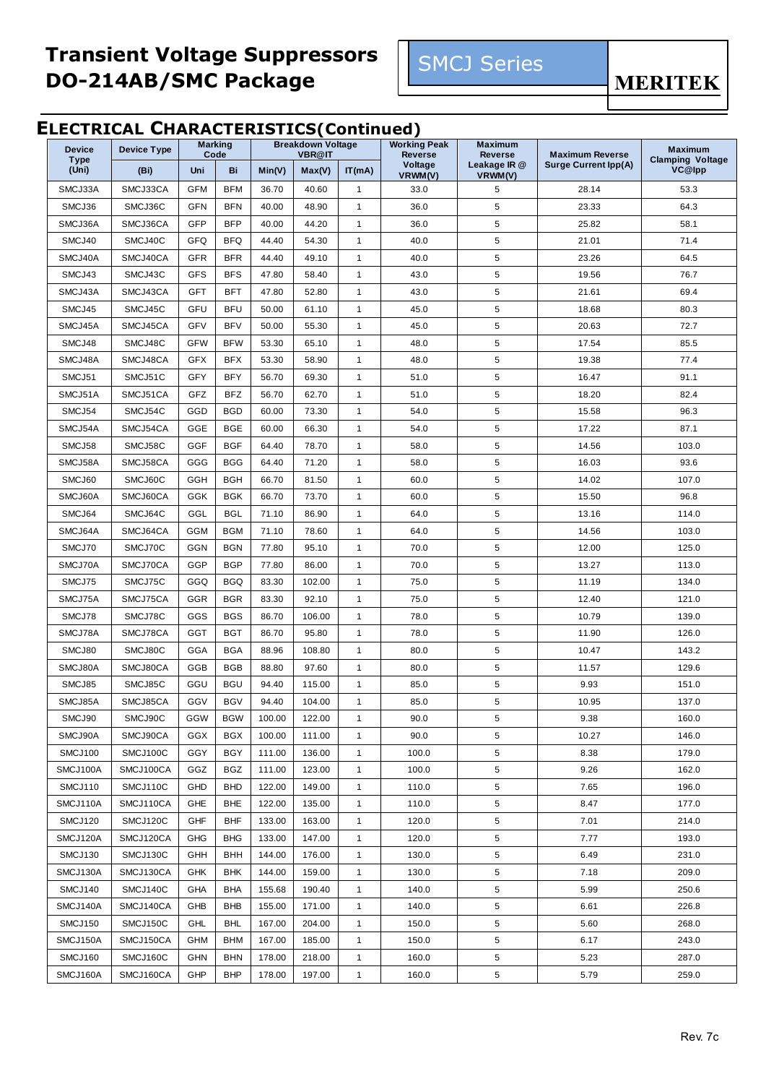

**MERITEK** 

#### **ELECTRICAL CHARACTERISTICS(Continued)**

| <b>Device</b>        | <b>Device Type</b> | <b>Marking</b><br>Code |            | <b>Breakdown Voltage</b><br><b>VBR@IT</b> |        | <b>Working Peak</b><br><b>Reverse</b> | <b>Maximum</b><br><b>Reverse</b> | <b>Maximum Reverse</b>  | <b>Maximum</b>              |                                   |
|----------------------|--------------------|------------------------|------------|-------------------------------------------|--------|---------------------------------------|----------------------------------|-------------------------|-----------------------------|-----------------------------------|
| <b>Type</b><br>(Uni) | (Bi)               | Uni                    | Bi         | Min(V)                                    | Max(V) | IT(mA)                                | Voltage<br>VRWM(V)               | Leakage IR @<br>VRWM(V) | <b>Surge Current Ipp(A)</b> | <b>Clamping Voltage</b><br>VC@lpp |
| SMCJ33A              | SMCJ33CA           | <b>GFM</b>             | <b>BFM</b> | 36.70                                     | 40.60  | $\mathbf{1}$                          | 33.0                             | 5                       | 28.14                       | 53.3                              |
| SMCJ36               | SMCJ36C            | <b>GFN</b>             | <b>BFN</b> | 40.00                                     | 48.90  | $\mathbf{1}$                          | 36.0                             | 5                       | 23.33                       | 64.3                              |
| SMCJ36A              | SMCJ36CA           | GFP                    | <b>BFP</b> | 40.00                                     | 44.20  | $\mathbf{1}$                          | 36.0                             | 5                       | 25.82                       | 58.1                              |
| SMCJ40               | SMCJ40C            | GFQ                    | <b>BFQ</b> | 44.40                                     | 54.30  | $\mathbf{1}$                          | 40.0                             | 5                       | 21.01                       | 71.4                              |
| SMCJ40A              | SMCJ40CA           | <b>GFR</b>             | <b>BFR</b> | 44.40                                     | 49.10  | $\mathbf{1}$                          | 40.0                             | 5                       | 23.26                       | 64.5                              |
| SMCJ43               | SMCJ43C            | <b>GFS</b>             | <b>BFS</b> | 47.80                                     | 58.40  | $\mathbf{1}$                          | 43.0                             | 5                       | 19.56                       | 76.7                              |
| SMCJ43A              | SMCJ43CA           | <b>GFT</b>             | BFT        | 47.80                                     | 52.80  | $\mathbf{1}$                          | 43.0                             | 5                       | 21.61                       | 69.4                              |
| SMCJ45               | SMCJ45C            | GFU                    | <b>BFU</b> | 50.00                                     | 61.10  | $\mathbf{1}$                          | 45.0                             | 5                       | 18.68                       | 80.3                              |
| SMCJ45A              | SMCJ45CA           | <b>GFV</b>             | <b>BFV</b> | 50.00                                     | 55.30  | $\mathbf{1}$                          | 45.0                             | 5                       | 20.63                       | 72.7                              |
| SMCJ48               | SMCJ48C            | <b>GFW</b>             | <b>BFW</b> | 53.30                                     | 65.10  | $\mathbf{1}$                          | 48.0                             | 5                       | 17.54                       | 85.5                              |
| SMCJ48A              | SMCJ48CA           | <b>GFX</b>             | <b>BFX</b> | 53.30                                     | 58.90  | $\mathbf{1}$                          | 48.0                             | 5                       | 19.38                       | 77.4                              |
| SMCJ51               | SMCJ51C            | GFY                    | <b>BFY</b> | 56.70                                     | 69.30  | $\mathbf{1}$                          | 51.0                             | 5                       | 16.47                       | 91.1                              |
| SMCJ51A              | SMCJ51CA           | GFZ                    | <b>BFZ</b> | 56.70                                     | 62.70  | $\mathbf{1}$                          | 51.0                             | 5                       | 18.20                       | 82.4                              |
| SMCJ54               | SMCJ54C            | GGD                    | <b>BGD</b> | 60.00                                     | 73.30  | $\mathbf{1}$                          | 54.0                             | 5                       | 15.58                       | 96.3                              |
| SMCJ54A              | SMCJ54CA           | GGE                    | <b>BGE</b> | 60.00                                     | 66.30  | $\mathbf{1}$                          | 54.0                             | 5                       | 17.22                       | 87.1                              |
| SMCJ58               | SMCJ58C            | <b>GGF</b>             | <b>BGF</b> | 64.40                                     | 78.70  | $\mathbf{1}$                          | 58.0                             | 5                       | 14.56                       | 103.0                             |
| SMCJ58A              | SMCJ58CA           | GGG                    | <b>BGG</b> | 64.40                                     | 71.20  | $\mathbf{1}$                          | 58.0                             | 5                       | 16.03                       | 93.6                              |
| SMCJ60               | SMCJ60C            | <b>GGH</b>             | <b>BGH</b> | 66.70                                     | 81.50  | $\mathbf{1}$                          | 60.0                             | 5                       | 14.02                       | 107.0                             |
| SMCJ60A              | SMCJ60CA           | GGK                    | <b>BGK</b> | 66.70                                     | 73.70  | $\mathbf{1}$                          | 60.0                             | 5                       | 15.50                       | 96.8                              |
| SMCJ64               | SMCJ64C            | GGL                    | <b>BGL</b> | 71.10                                     | 86.90  | $\mathbf{1}$                          | 64.0                             | 5                       | 13.16                       | 114.0                             |
| SMCJ64A              | SMCJ64CA           | GGM                    | BGM        | 71.10                                     | 78.60  | $\mathbf{1}$                          | 64.0                             | 5                       | 14.56                       | 103.0                             |
| SMCJ70               | SMCJ70C            | <b>GGN</b>             | <b>BGN</b> | 77.80                                     | 95.10  | $\mathbf{1}$                          | 70.0                             | 5                       | 12.00                       | 125.0                             |
| SMCJ70A              | SMCJ70CA           | GGP                    | <b>BGP</b> | 77.80                                     | 86.00  | $\mathbf{1}$                          | 70.0                             | 5                       | 13.27                       | 113.0                             |
| SMCJ75               | SMCJ75C            | GGQ                    | <b>BGQ</b> | 83.30                                     | 102.00 | $\mathbf{1}$                          | 75.0                             | 5                       | 11.19                       | 134.0                             |
| SMCJ75A              | SMCJ75CA           | <b>GGR</b>             | <b>BGR</b> | 83.30                                     | 92.10  | $\mathbf{1}$                          | 75.0                             | 5                       | 12.40                       | 121.0                             |
| SMCJ78               | SMCJ78C            | GGS                    | <b>BGS</b> | 86.70                                     | 106.00 | $\mathbf{1}$                          | 78.0                             | 5                       | 10.79                       | 139.0                             |
| SMCJ78A              | SMCJ78CA           | <b>GGT</b>             | <b>BGT</b> | 86.70                                     | 95.80  | $\mathbf{1}$                          | 78.0                             | 5                       | 11.90                       | 126.0                             |
| SMCJ80               | SMCJ80C            | GGA                    | <b>BGA</b> | 88.96                                     | 108.80 | $\mathbf{1}$                          | 80.0                             | 5                       | 10.47                       | 143.2                             |
| SMCJ80A              | SMCJ80CA           | GGB                    | <b>BGB</b> | 88.80                                     | 97.60  | $\mathbf{1}$                          | 80.0                             | 5                       | 11.57                       | 129.6                             |
| SMCJ85               | SMCJ85C            | GGU                    | <b>BGU</b> | 94.40                                     | 115.00 | $\mathbf{1}$                          | 85.0                             | 5                       | 9.93                        | 151.0                             |
| SMCJ85A              | SMCJ85CA           | GGV                    | <b>BGV</b> | 94.40                                     | 104.00 | $\mathbf{1}$                          | 85.0                             | 5                       | 10.95                       | 137.0                             |
| SMCJ90               | SMCJ90C            | GGW                    | <b>BGW</b> | 100.00                                    | 122.00 | 1                                     | 90.0                             | 5                       | 9.38                        | 160.0                             |
| SMCJ90A              | SMCJ90CA           | GGX                    | <b>BGX</b> | 100.00                                    | 111.00 | $\mathbf{1}$                          | 90.0                             | 5                       | 10.27                       | 146.0                             |
| SMCJ100              | SMCJ100C           | GGY                    | <b>BGY</b> | 111.00                                    | 136.00 | $\mathbf{1}$                          | 100.0                            | 5                       | 8.38                        | 179.0                             |
| SMCJ100A             | SMCJ100CA          | GGZ                    | <b>BGZ</b> | 111.00                                    | 123.00 | $\mathbf{1}$                          | 100.0                            | 5                       | 9.26                        | 162.0                             |
| SMCJ110              | SMCJ110C           | GHD                    | <b>BHD</b> | 122.00                                    | 149.00 | $\mathbf{1}$                          | 110.0                            | 5                       | 7.65                        | 196.0                             |
| SMCJ110A             | SMCJ110CA          | GHE                    | <b>BHE</b> | 122.00                                    | 135.00 | $\mathbf{1}$                          | 110.0                            | 5                       | 8.47                        | 177.0                             |
| SMCJ120              | SMCJ120C           | GHF                    | <b>BHF</b> | 133.00                                    | 163.00 | $\mathbf{1}$                          | 120.0                            | 5                       | 7.01                        | 214.0                             |
| SMCJ120A             | SMCJ120CA          | <b>GHG</b>             | <b>BHG</b> | 133.00                                    | 147.00 | $\mathbf{1}$                          | 120.0                            | 5                       | 7.77                        | 193.0                             |
| SMCJ130              | SMCJ130C           | GHH                    | <b>BHH</b> | 144.00                                    | 176.00 | $\mathbf{1}$                          | 130.0                            | 5                       | 6.49                        | 231.0                             |
| SMCJ130A             | SMCJ130CA          | <b>GHK</b>             | <b>BHK</b> | 144.00                                    | 159.00 | $\mathbf{1}$                          | 130.0                            | 5                       | 7.18                        | 209.0                             |
| SMCJ140              | SMCJ140C           | GHA                    | <b>BHA</b> | 155.68                                    | 190.40 | $\mathbf{1}$                          | 140.0                            | 5                       | 5.99                        | 250.6                             |
| SMCJ140A             | SMCJ140CA          | GHB                    | <b>BHB</b> | 155.00                                    | 171.00 | $\mathbf{1}$                          | 140.0                            | 5                       | 6.61                        | 226.8                             |
| SMCJ150              | SMCJ150C           | <b>GHL</b>             | <b>BHL</b> | 167.00                                    | 204.00 | $\mathbf{1}$                          | 150.0                            | 5                       | 5.60                        | 268.0                             |
| SMCJ150A             | SMCJ150CA          | GHM                    | BHM        | 167.00                                    | 185.00 | $\mathbf{1}$                          | 150.0                            | 5                       | 6.17                        | 243.0                             |
| SMCJ160              | SMCJ160C           | <b>GHN</b>             | <b>BHN</b> | 178.00                                    | 218.00 | $\mathbf{1}$                          | 160.0                            | 5                       | 5.23                        | 287.0                             |
| SMCJ160A             | SMCJ160CA          | GHP                    | <b>BHP</b> | 178.00                                    | 197.00 | $\mathbf{1}$                          | 160.0                            | 5                       | 5.79                        | 259.0                             |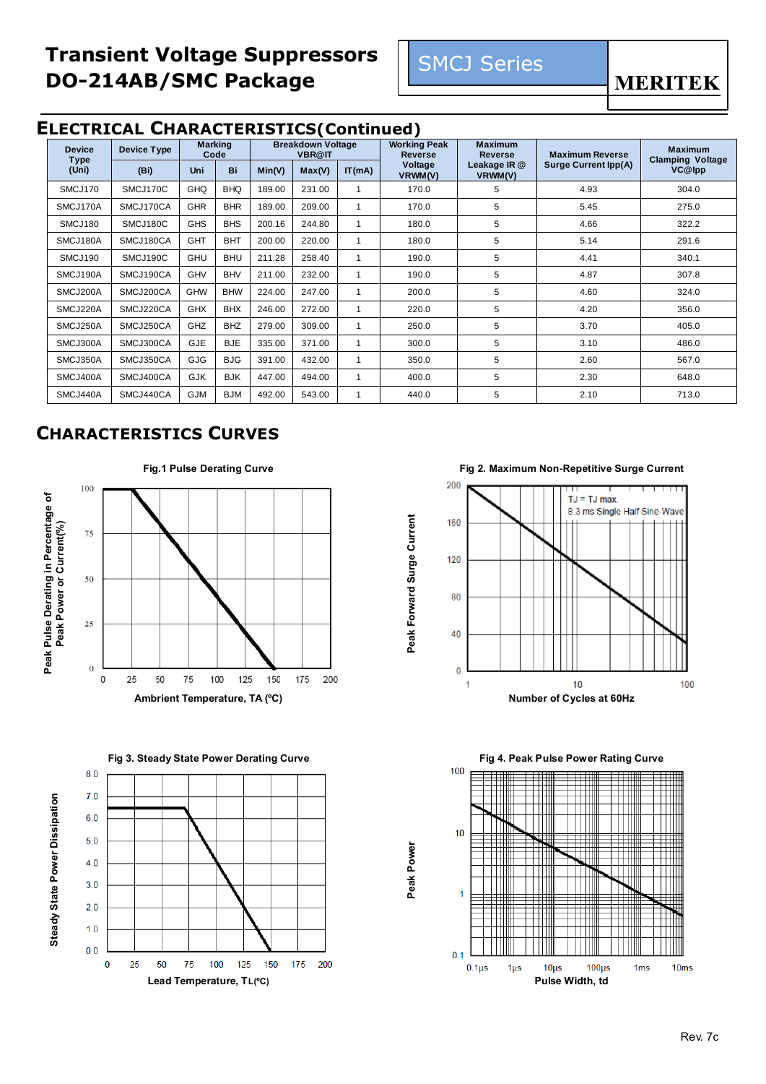

#### **ELECTRICAL CHARACTERISTICS(Continued)**

| <b>Device</b>        | <b>Device Type</b> |            | <b>Marking</b><br>Code |        | <b>Breakdown Voltage</b><br><b>VBR@IT</b> |              | <b>Working Peak</b><br><b>Reverse</b> | <b>Maximum</b><br><b>Reverse</b> | <b>Maximum Reverse</b>      | <b>Maximum</b>                    |
|----------------------|--------------------|------------|------------------------|--------|-------------------------------------------|--------------|---------------------------------------|----------------------------------|-----------------------------|-----------------------------------|
| <b>Type</b><br>(Uni) | (Bi)               | Uni        | Bi                     | Min(V) | Max(V)                                    | IT(mA)       | Voltage<br>VRWM(V)                    | Leakage IR @<br>VRWM(V)          | <b>Surge Current Ipp(A)</b> | <b>Clamping Voltage</b><br>VC@lpp |
| SMCJ170              | SMCJ170C           | GHQ        | <b>BHQ</b>             | 189.00 | 231.00                                    |              | 170.0                                 | 5                                | 4.93                        | 304.0                             |
| SMCJ170A             | SMCJ170CA          | <b>GHR</b> | <b>BHR</b>             | 189.00 | 209.00                                    | 1            | 170.0                                 | 5                                | 5.45                        | 275.0                             |
| SMCJ180              | SMCJ180C           | <b>GHS</b> | <b>BHS</b>             | 200.16 | 244.80                                    | -1           | 180.0                                 | 5                                | 4.66                        | 322.2                             |
| SMCJ180A             | SMCJ180CA          | <b>GHT</b> | <b>BHT</b>             | 200.00 | 220.00                                    | 1            | 180.0                                 | 5                                | 5.14                        | 291.6                             |
| SMCJ190              | SMCJ190C           | <b>GHU</b> | <b>BHU</b>             | 211.28 | 258.40                                    | $\mathbf{1}$ | 190.0                                 | 5                                | 4.41                        | 340.1                             |
| SMCJ190A             | SMCJ190CA          | GHV        | <b>BHV</b>             | 211.00 | 232.00                                    | 1            | 190.0                                 | 5                                | 4.87                        | 307.8                             |
| SMCJ200A             | SMCJ200CA          | <b>GHW</b> | <b>BHW</b>             | 224.00 | 247.00                                    | 1            | 200.0                                 | 5                                | 4.60                        | 324.0                             |
| SMCJ220A             | SMCJ220CA          | <b>GHX</b> | <b>BHX</b>             | 246.00 | 272.00                                    |              | 220.0                                 | 5                                | 4.20                        | 356.0                             |
| SMCJ250A             | SMCJ250CA          | GHZ        | <b>BHZ</b>             | 279.00 | 309.00                                    | 1            | 250.0                                 | 5                                | 3.70                        | 405.0                             |
| SMCJ300A             | SMCJ300CA          | <b>GJE</b> | <b>BJE</b>             | 335.00 | 371.00                                    | 1            | 300.0                                 | 5                                | 3.10                        | 486.0                             |
| SMCJ350A             | SMCJ350CA          | <b>GJG</b> | <b>BJG</b>             | 391.00 | 432.00                                    | 1            | 350.0                                 | 5                                | 2.60                        | 567.0                             |
| SMCJ400A             | SMCJ400CA          | <b>GJK</b> | <b>BJK</b>             | 447.00 | 494.00                                    | 1            | 400.0                                 | 5                                | 2.30                        | 648.0                             |
| SMCJ440A             | SMCJ440CA          | <b>GJM</b> | <b>BJM</b>             | 492.00 | 543.00                                    | 1            | 440.0                                 | 5                                | 2.10                        | 713.0                             |

**Peak Forward Surge Current**

Peak Forward Surge Current

**Peak Power**

### **CHARACTERISTICS CURVES**



**Fig 3. Steady State Power Derating Curve Fig 4. Peak Pulse Power Rating Curve** 



**Fig.1 Pulse Derating Curve Fig 2. Maximum Non-Repetitive Surge Current**



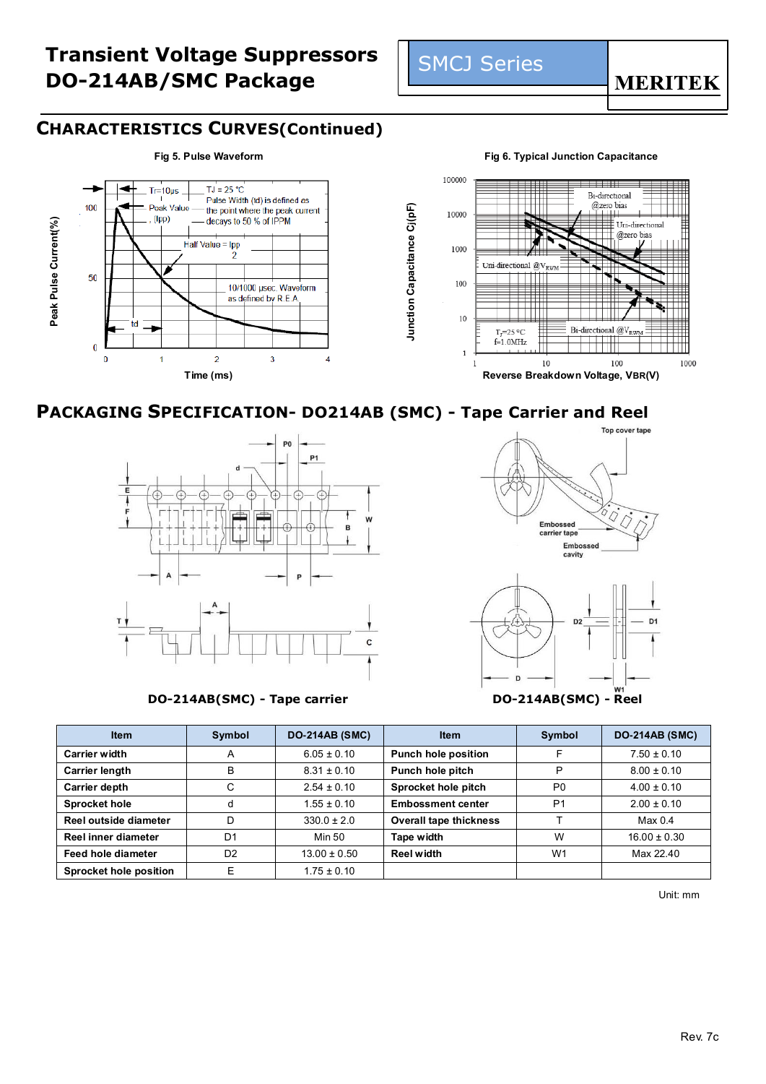

#### **CHARACTERISTICS CURVES(Continued)**



#### **PACKAGING SPECIFICATION- DO214AB (SMC) - Tape Carrier and Reel**



**DO-214AB(SMC) - Tape carrier DO-214AB(SMC) - Reel**



D

| <b>Item</b>                   | Symbol         | <b>DO-214AB (SMC)</b> | <b>Item</b>                   | Symbol         | <b>DO-214AB (SMC)</b> |
|-------------------------------|----------------|-----------------------|-------------------------------|----------------|-----------------------|
| <b>Carrier width</b>          | A              | $6.05 \pm 0.10$       | <b>Punch hole position</b>    |                | $7.50 \pm 0.10$       |
| Carrier length                | B              | $8.31 \pm 0.10$       | Punch hole pitch              | P              | $8.00 \pm 0.10$       |
| <b>Carrier depth</b>          | C              | $2.54 \pm 0.10$       | Sprocket hole pitch           | P <sub>0</sub> | $4.00 \pm 0.10$       |
| <b>Sprocket hole</b>          |                | $1.55 \pm 0.10$       | <b>Embossment center</b>      | P <sub>1</sub> | $2.00 \pm 0.10$       |
| Reel outside diameter         | D              | $330.0 \pm 2.0$       | <b>Overall tape thickness</b> |                | Max <sub>0.4</sub>    |
| Reel inner diameter           | D <sub>1</sub> | Min 50                | Tape width                    | W              | $16.00 \pm 0.30$      |
| Feed hole diameter            | D <sub>2</sub> | $13.00 \pm 0.50$      | Reel width                    | W <sub>1</sub> | Max 22.40             |
| <b>Sprocket hole position</b> | F              | $1.75 \pm 0.10$       |                               |                |                       |

SMCJ Series

Unit: mm